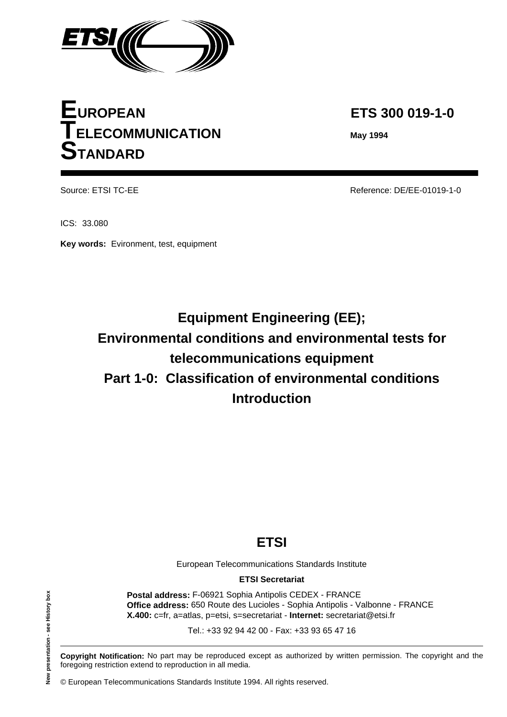

# **EUROPEAN ETS 300 019-1-0 TELECOMMUNICATION** May 1994 **STANDARD**

ICS: 33.080

**Key words:** Evironment, test, equipment

Source: ETSI TC-EE **Reference: DE/EE-01019-1-0** 

**Equipment Engineering (EE); Environmental conditions and environmental tests for telecommunications equipment Part 1-0: Classification of environmental conditions Introduction**

## **ETSI**

European Telecommunications Standards Institute

## **ETSI Secretariat**

**Postal address:** F-06921 Sophia Antipolis CEDEX - FRANCE **Office address:** 650 Route des Lucioles - Sophia Antipolis - Valbonne - FRANCE **X.400:** c=fr, a=atlas, p=etsi, s=secretariat - **Internet:** secretariat@etsi.fr

Tel.: +33 92 94 42 00 - Fax: +33 93 65 47 16

**Copyright Notification:** No part may be reproduced except as authorized by written permission. The copyright and the foregoing restriction extend to reproduction in all media.

New presentation - see History box **New presentation - see History box**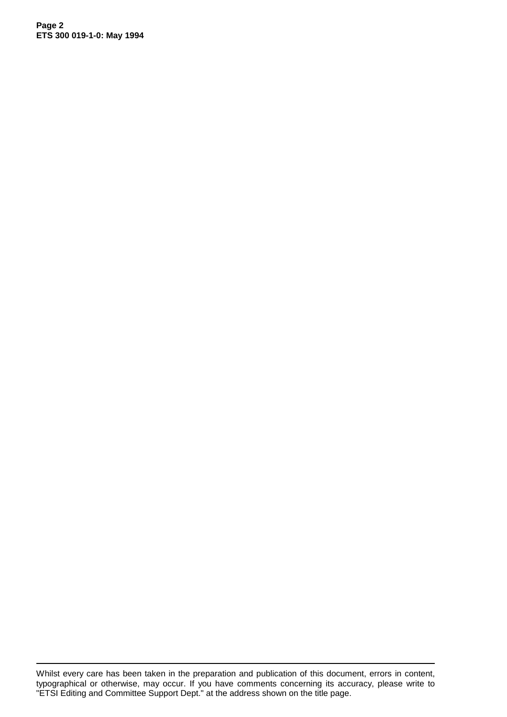**Page 2 ETS 300 019-1-0: May 1994**

Whilst every care has been taken in the preparation and publication of this document, errors in content, typographical or otherwise, may occur. If you have comments concerning its accuracy, please write to "ETSI Editing and Committee Support Dept." at the address shown on the title page.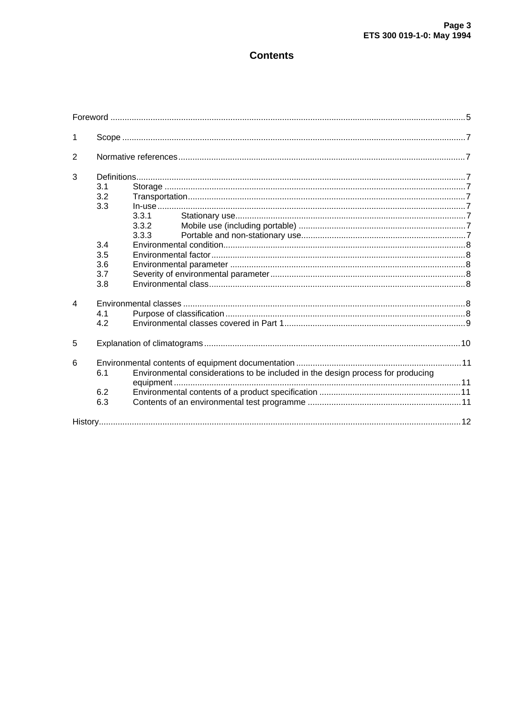## **Contents**

| 1              |     |                                                                                 |  |
|----------------|-----|---------------------------------------------------------------------------------|--|
| 2              |     |                                                                                 |  |
| 3              |     |                                                                                 |  |
|                | 3.1 |                                                                                 |  |
|                | 3.2 |                                                                                 |  |
|                | 3.3 |                                                                                 |  |
|                |     | 3.3.1                                                                           |  |
|                |     | 3.3.2                                                                           |  |
|                |     | 3.3.3                                                                           |  |
|                | 3.4 |                                                                                 |  |
|                | 3.5 |                                                                                 |  |
|                | 3.6 |                                                                                 |  |
|                | 3.7 |                                                                                 |  |
|                | 3.8 |                                                                                 |  |
| $\overline{4}$ |     |                                                                                 |  |
|                | 4.1 |                                                                                 |  |
|                | 4.2 |                                                                                 |  |
| 5              |     |                                                                                 |  |
| 6              |     |                                                                                 |  |
|                | 6.1 | Environmental considerations to be included in the design process for producing |  |
|                |     |                                                                                 |  |
|                | 6.2 |                                                                                 |  |
|                | 6.3 |                                                                                 |  |
|                |     |                                                                                 |  |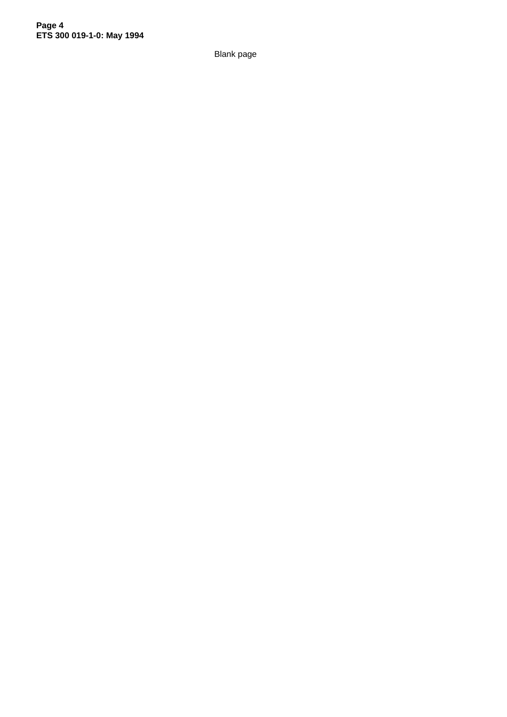Blank page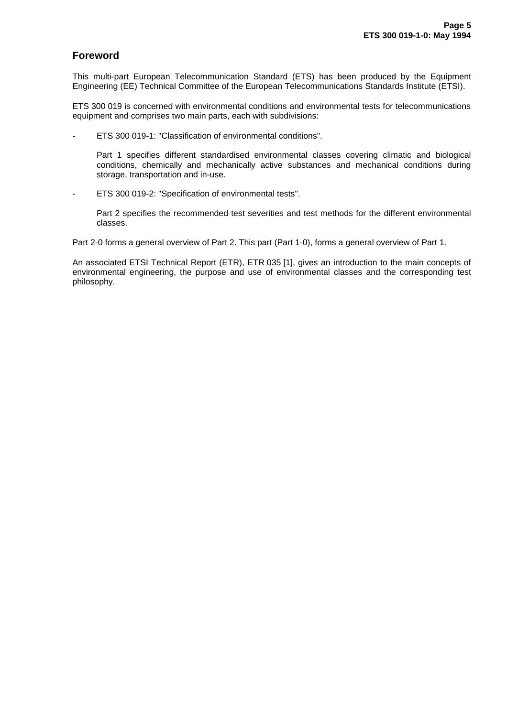## **Foreword**

This multi-part European Telecommunication Standard (ETS) has been produced by the Equipment Engineering (EE) Technical Committee of the European Telecommunications Standards Institute (ETSI).

ETS 300 019 is concerned with environmental conditions and environmental tests for telecommunications equipment and comprises two main parts, each with subdivisions:

ETS 300 019-1: "Classification of environmental conditions".

Part 1 specifies different standardised environmental classes covering climatic and biological conditions, chemically and mechanically active substances and mechanical conditions during storage, transportation and in-use.

- ETS 300 019-2: "Specification of environmental tests".

Part 2 specifies the recommended test severities and test methods for the different environmental classes.

Part 2-0 forms a general overview of Part 2. This part (Part 1-0), forms a general overview of Part 1.

An associated ETSI Technical Report (ETR), ETR 035 [1], gives an introduction to the main concepts of environmental engineering, the purpose and use of environmental classes and the corresponding test philosophy.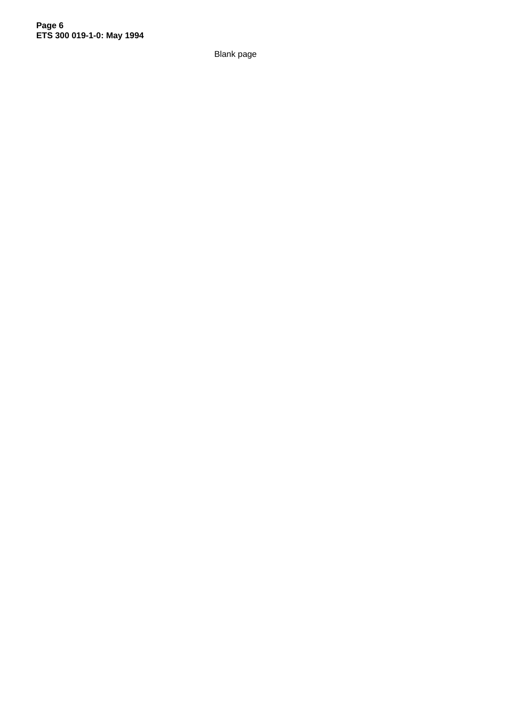Blank page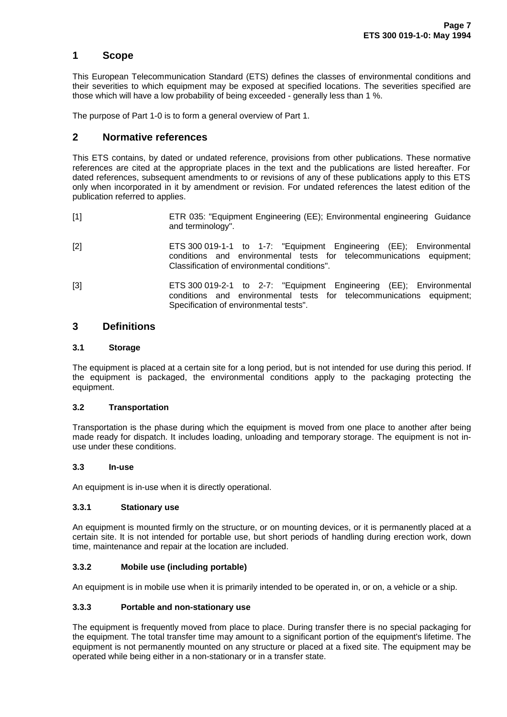### **1 Scope**

This European Telecommunication Standard (ETS) defines the classes of environmental conditions and their severities to which equipment may be exposed at specified locations. The severities specified are those which will have a low probability of being exceeded - generally less than 1 %.

The purpose of Part 1-0 is to form a general overview of Part 1.

#### **2 Normative references**

This ETS contains, by dated or undated reference, provisions from other publications. These normative references are cited at the appropriate places in the text and the publications are listed hereafter. For dated references, subsequent amendments to or revisions of any of these publications apply to this ETS only when incorporated in it by amendment or revision. For undated references the latest edition of the publication referred to applies.

- [1] ETR 035: "Equipment Engineering (EE); Environmental engineering Guidance and terminology".
- [2] ETS 300 019-1-1 to 1-7: "Equipment Engineering (EE); Environmental conditions and environmental tests for telecommunications equipment; Classification of environmental conditions".
- [3] ETS 300 019-2-1 to 2-7: "Equipment Engineering (EE); Environmental conditions and environmental tests for telecommunications equipment; Specification of environmental tests".

#### **3 Definitions**

#### **3.1 Storage**

The equipment is placed at a certain site for a long period, but is not intended for use during this period. If the equipment is packaged, the environmental conditions apply to the packaging protecting the equipment.

#### **3.2 Transportation**

Transportation is the phase during which the equipment is moved from one place to another after being made ready for dispatch. It includes loading, unloading and temporary storage. The equipment is not inuse under these conditions.

#### **3.3 In-use**

An equipment is in-use when it is directly operational.

#### **3.3.1 Stationary use**

An equipment is mounted firmly on the structure, or on mounting devices, or it is permanently placed at a certain site. It is not intended for portable use, but short periods of handling during erection work, down time, maintenance and repair at the location are included.

#### **3.3.2 Mobile use (including portable)**

An equipment is in mobile use when it is primarily intended to be operated in, or on, a vehicle or a ship.

#### **3.3.3 Portable and non-stationary use**

The equipment is frequently moved from place to place. During transfer there is no special packaging for the equipment. The total transfer time may amount to a significant portion of the equipment's lifetime. The equipment is not permanently mounted on any structure or placed at a fixed site. The equipment may be operated while being either in a non-stationary or in a transfer state.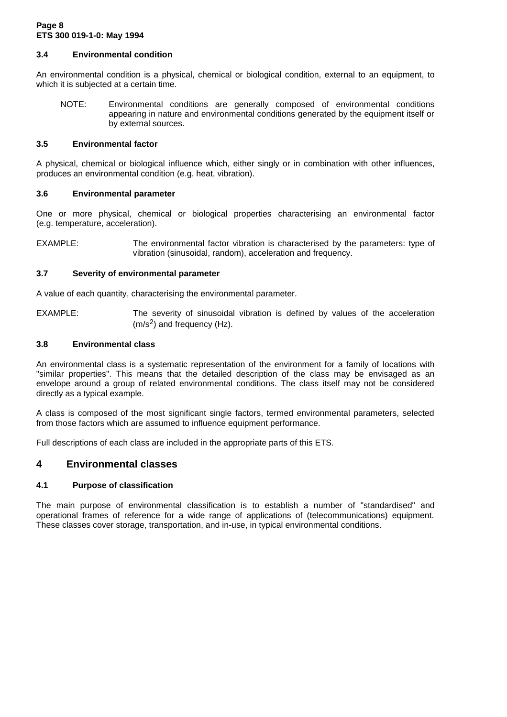#### **3.4 Environmental condition**

An environmental condition is a physical, chemical or biological condition, external to an equipment, to which it is subjected at a certain time.

NOTE: Environmental conditions are generally composed of environmental conditions appearing in nature and environmental conditions generated by the equipment itself or by external sources.

#### **3.5 Environmental factor**

A physical, chemical or biological influence which, either singly or in combination with other influences, produces an environmental condition (e.g. heat, vibration).

#### **3.6 Environmental parameter**

One or more physical, chemical or biological properties characterising an environmental factor (e.g. temperature, acceleration).

EXAMPLE: The environmental factor vibration is characterised by the parameters: type of vibration (sinusoidal, random), acceleration and frequency.

#### **3.7 Severity of environmental parameter**

A value of each quantity, characterising the environmental parameter.

EXAMPLE: The severity of sinusoidal vibration is defined by values of the acceleration  $(m/s<sup>2</sup>)$  and frequency (Hz).

#### **3.8 Environmental class**

An environmental class is a systematic representation of the environment for a family of locations with "similar properties". This means that the detailed description of the class may be envisaged as an envelope around a group of related environmental conditions. The class itself may not be considered directly as a typical example.

A class is composed of the most significant single factors, termed environmental parameters, selected from those factors which are assumed to influence equipment performance.

Full descriptions of each class are included in the appropriate parts of this ETS.

#### **4 Environmental classes**

#### **4.1 Purpose of classification**

The main purpose of environmental classification is to establish a number of "standardised" and operational frames of reference for a wide range of applications of (telecommunications) equipment. These classes cover storage, transportation, and in-use, in typical environmental conditions.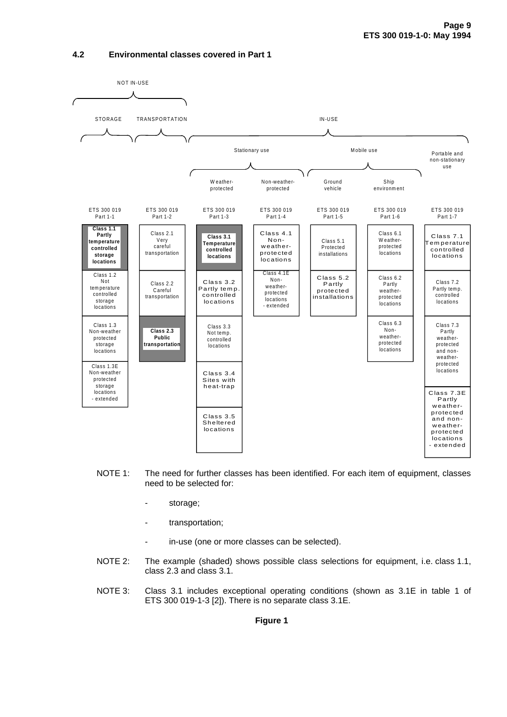#### **4.2 Environmental classes covered in Part 1**



- NOTE 1: The need for further classes has been identified. For each item of equipment, classes need to be selected for:
	- storage;
	- transportation;
	- in-use (one or more classes can be selected).
- NOTE 2: The example (shaded) shows possible class selections for equipment, i.e. class 1.1, class 2.3 and class 3.1.
- NOTE 3: Class 3.1 includes exceptional operating conditions (shown as 3.1E in table 1 of ETS 300 019-1-3 [2]). There is no separate class 3.1E.

#### **Figure 1**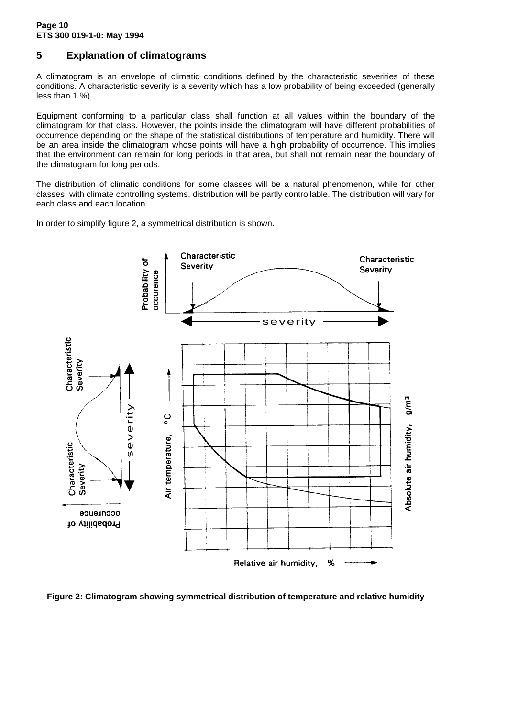## **5 Explanation of climatograms**

A climatogram is an envelope of climatic conditions defined by the characteristic severities of these conditions. A characteristic severity is a severity which has a low probability of being exceeded (generally less than 1 %).

Equipment conforming to a particular class shall function at all values within the boundary of the climatogram for that class. However, the points inside the climatogram will have different probabilities of occurrence depending on the shape of the statistical distributions of temperature and humidity. There will be an area inside the climatogram whose points will have a high probability of occurrence. This implies that the environment can remain for long periods in that area, but shall not remain near the boundary of the climatogram for long periods.

The distribution of climatic conditions for some classes will be a natural phenomenon, while for other classes, with climate controlling systems, distribution will be partly controllable. The distribution will vary for each class and each location.

In order to simplify figure 2, a symmetrical distribution is shown.



**Figure 2: Climatogram showing symmetrical distribution of temperature and relative humidity**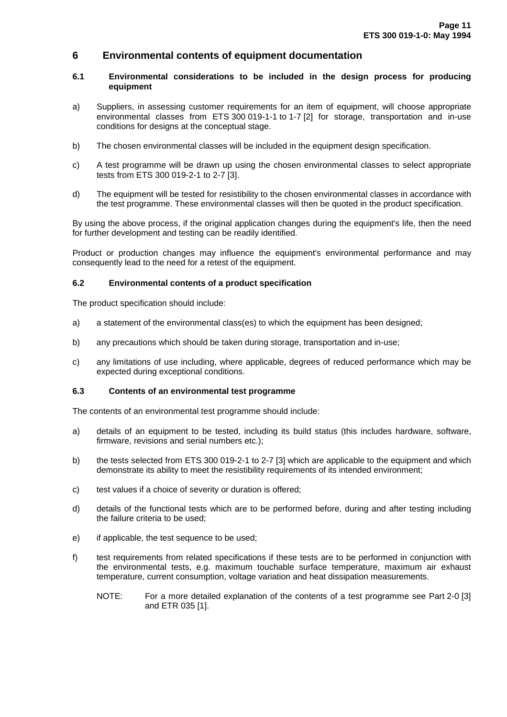#### **6 Environmental contents of equipment documentation**

#### **6.1 Environmental considerations to be included in the design process for producing equipment**

- a) Suppliers, in assessing customer requirements for an item of equipment, will choose appropriate environmental classes from ETS 300 019-1-1 to 1-7 [2] for storage, transportation and in-use conditions for designs at the conceptual stage.
- b) The chosen environmental classes will be included in the equipment design specification.
- c) A test programme will be drawn up using the chosen environmental classes to select appropriate tests from ETS 300 019-2-1 to 2-7 [3].
- d) The equipment will be tested for resistibility to the chosen environmental classes in accordance with the test programme. These environmental classes will then be quoted in the product specification.

By using the above process, if the original application changes during the equipment's life, then the need for further development and testing can be readily identified.

Product or production changes may influence the equipment's environmental performance and may consequently lead to the need for a retest of the equipment.

#### **6.2 Environmental contents of a product specification**

The product specification should include:

- a) a statement of the environmental class(es) to which the equipment has been designed;
- b) any precautions which should be taken during storage, transportation and in-use;
- c) any limitations of use including, where applicable, degrees of reduced performance which may be expected during exceptional conditions.

#### **6.3 Contents of an environmental test programme**

The contents of an environmental test programme should include:

- a) details of an equipment to be tested, including its build status (this includes hardware, software, firmware, revisions and serial numbers etc.);
- b) the tests selected from ETS 300 019-2-1 to 2-7 [3] which are applicable to the equipment and which demonstrate its ability to meet the resistibility requirements of its intended environment;
- c) test values if a choice of severity or duration is offered;
- d) details of the functional tests which are to be performed before, during and after testing including the failure criteria to be used;
- e) if applicable, the test sequence to be used;
- f) test requirements from related specifications if these tests are to be performed in conjunction with the environmental tests, e.g. maximum touchable surface temperature, maximum air exhaust temperature, current consumption, voltage variation and heat dissipation measurements.
	- NOTE: For a more detailed explanation of the contents of a test programme see Part 2-0 [3] and ETR 035 [1].